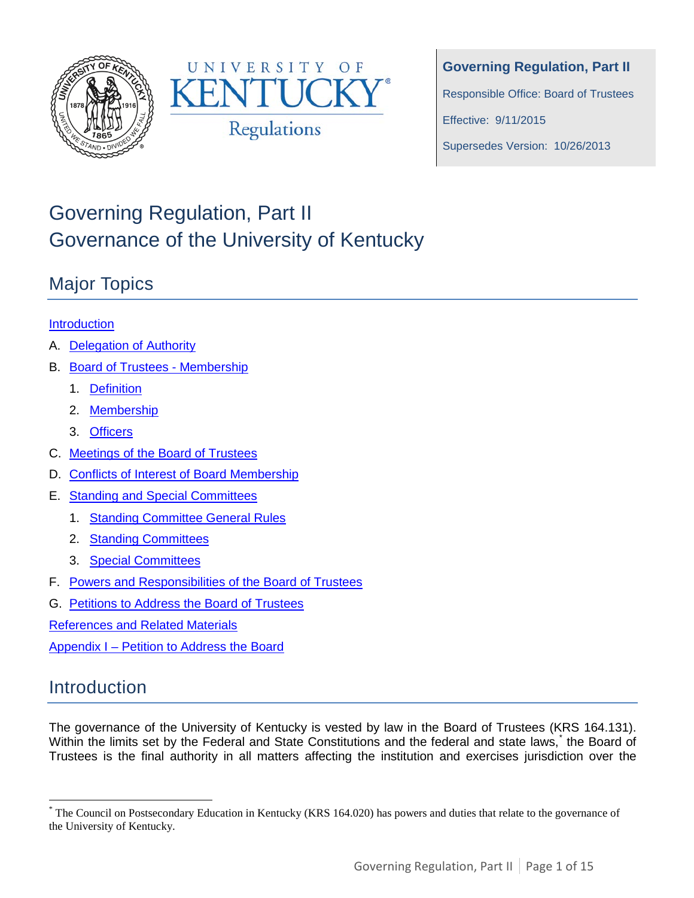



**Governing Regulation, Part II** Responsible Office: Board of Trustees

Effective: 9/11/2015

Supersedes Version: 10/26/2013

# Governing Regulation, Part II Governance of the University of Kentucky

## Major Topics

### **[Introduction](#page-0-0)**

- A. Delegation of Authority
- B. Board of Trustees Membership
	- 1. Definition
	- 2. Membership
	- 3. Officers
- C. Meetings of the Board of Trustees
- D. Conflicts of Interest of Board Membership
- E. Standing and Special Committees
	- 1. Standing Committee General Rules
	- 2. Standing Committees
	- 3. [Special Committees](#page-3-0)
- F. Powers and Responsibilities of the Board of Trustees
- G. Petitions to Address the Board of Trustees

References and Related Materials

Appendix I – Petition to Address the Board

## <span id="page-0-0"></span>Introduction

The governance of the University of Kentucky is vested by law in the Board of Trustees (KRS 164.131). Within the limits set by the Federal and State Constitutions and the federal and state laws,<sup>[\\*](#page-0-1)</sup> the Board of Trustees is the final authority in all matters affecting the institution and exercises jurisdiction over the

<span id="page-0-1"></span> <sup>\*</sup> The Council on Postsecondary Education in Kentucky (KRS 164.020) has powers and duties that relate to the governance of the University of Kentucky.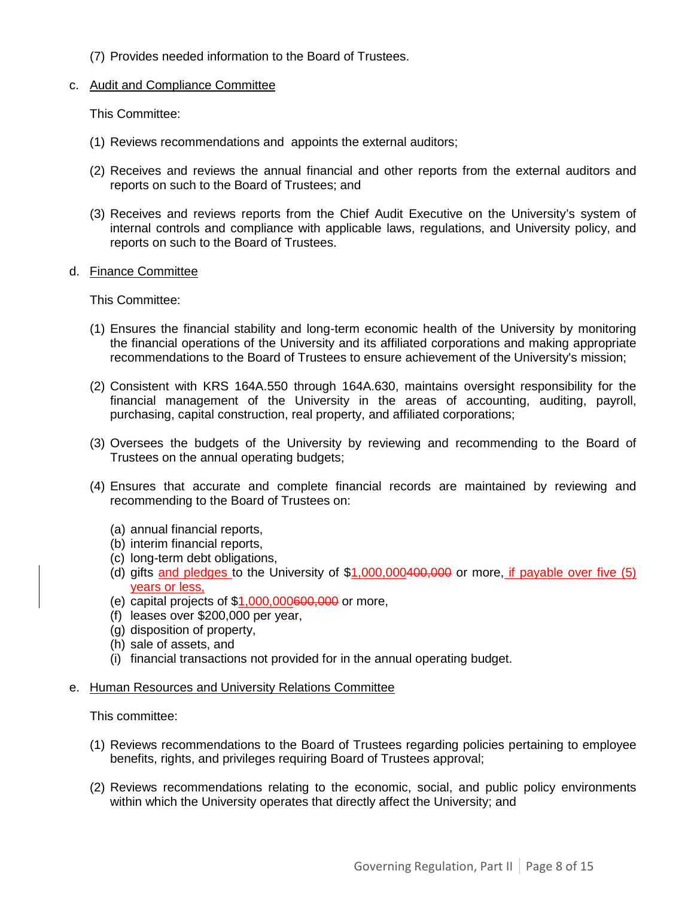(7) Provides needed information to the Board of Trustees.

#### c. Audit and Compliance Committee

This Committee:

- (1) Reviews recommendations and appoints the external auditors;
- (2) Receives and reviews the annual financial and other reports from the external auditors and reports on such to the Board of Trustees; and
- (3) Receives and reviews reports from the Chief Audit Executive on the University's system of internal controls and compliance with applicable laws, regulations, and University policy, and reports on such to the Board of Trustees.

#### d. Finance Committee

This Committee:

- (1) Ensures the financial stability and long-term economic health of the University by monitoring the financial operations of the University and its affiliated corporations and making appropriate recommendations to the Board of Trustees to ensure achievement of the University's mission;
- (2) Consistent with KRS 164A.550 through 164A.630, maintains oversight responsibility for the financial management of the University in the areas of accounting, auditing, payroll, purchasing, capital construction, real property, and affiliated corporations;
- (3) Oversees the budgets of the University by reviewing and recommending to the Board of Trustees on the annual operating budgets;
- (4) Ensures that accurate and complete financial records are maintained by reviewing and recommending to the Board of Trustees on:
	- (a) annual financial reports,
	- (b) interim financial reports,
	- (c) long-term debt obligations,
	- (d) gifts and pledges to the University of \$1,000,000400,000 or more, if payable over five (5) years or less,
	- (e) capital projects of  $$1,000,000600,000$  or more,
	- (f) leases over \$200,000 per year,
	- (g) disposition of property,
	- (h) sale of assets, and
	- (i) financial transactions not provided for in the annual operating budget.

#### e. Human Resources and University Relations Committee

This committee:

- (1) Reviews recommendations to the Board of Trustees regarding policies pertaining to employee benefits, rights, and privileges requiring Board of Trustees approval;
- (2) Reviews recommendations relating to the economic, social, and public policy environments within which the University operates that directly affect the University; and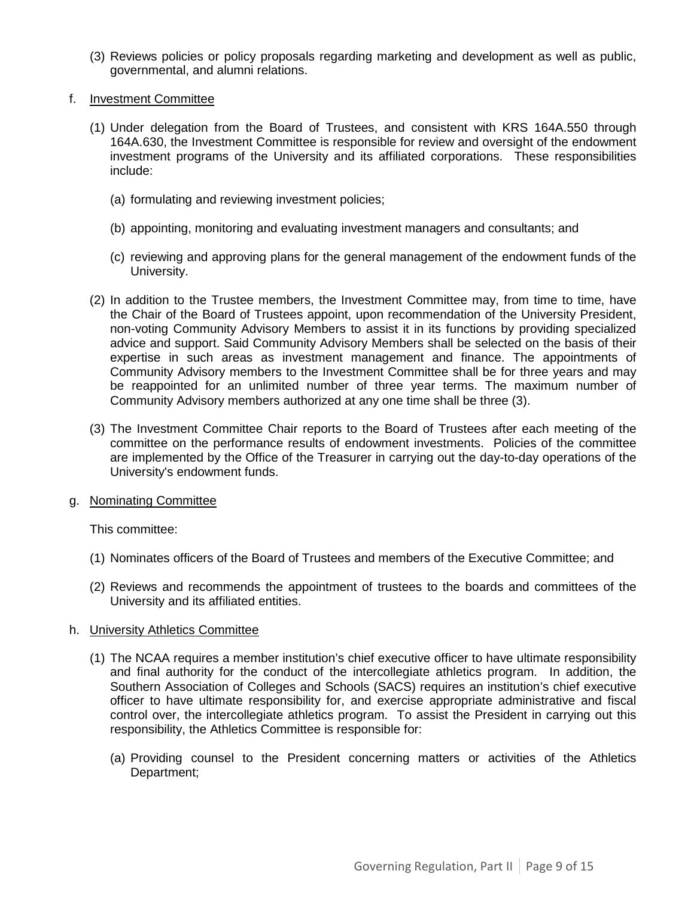- (3) Reviews policies or policy proposals regarding marketing and development as well as public, governmental, and alumni relations.
- f. Investment Committee
	- (1) Under delegation from the Board of Trustees, and consistent with KRS 164A.550 through 164A.630, the Investment Committee is responsible for review and oversight of the endowment investment programs of the University and its affiliated corporations. These responsibilities include:
		- (a) formulating and reviewing investment policies;
		- (b) appointing, monitoring and evaluating investment managers and consultants; and
		- (c) reviewing and approving plans for the general management of the endowment funds of the University.
	- (2) In addition to the Trustee members, the Investment Committee may, from time to time, have the Chair of the Board of Trustees appoint, upon recommendation of the University President, non-voting Community Advisory Members to assist it in its functions by providing specialized advice and support. Said Community Advisory Members shall be selected on the basis of their expertise in such areas as investment management and finance. The appointments of Community Advisory members to the Investment Committee shall be for three years and may be reappointed for an unlimited number of three year terms. The maximum number of Community Advisory members authorized at any one time shall be three (3).
	- (3) The Investment Committee Chair reports to the Board of Trustees after each meeting of the committee on the performance results of endowment investments. Policies of the committee are implemented by the Office of the Treasurer in carrying out the day-to-day operations of the University's endowment funds.
- g. Nominating Committee

This committee:

- (1) Nominates officers of the Board of Trustees and members of the Executive Committee; and
- (2) Reviews and recommends the appointment of trustees to the boards and committees of the University and its affiliated entities.

#### h. University Athletics Committee

- (1) The NCAA requires a member institution's chief executive officer to have ultimate responsibility and final authority for the conduct of the intercollegiate athletics program. In addition, the Southern Association of Colleges and Schools (SACS) requires an institution's chief executive officer to have ultimate responsibility for, and exercise appropriate administrative and fiscal control over, the intercollegiate athletics program. To assist the President in carrying out this responsibility, the Athletics Committee is responsible for:
	- (a) Providing counsel to the President concerning matters or activities of the Athletics Department;